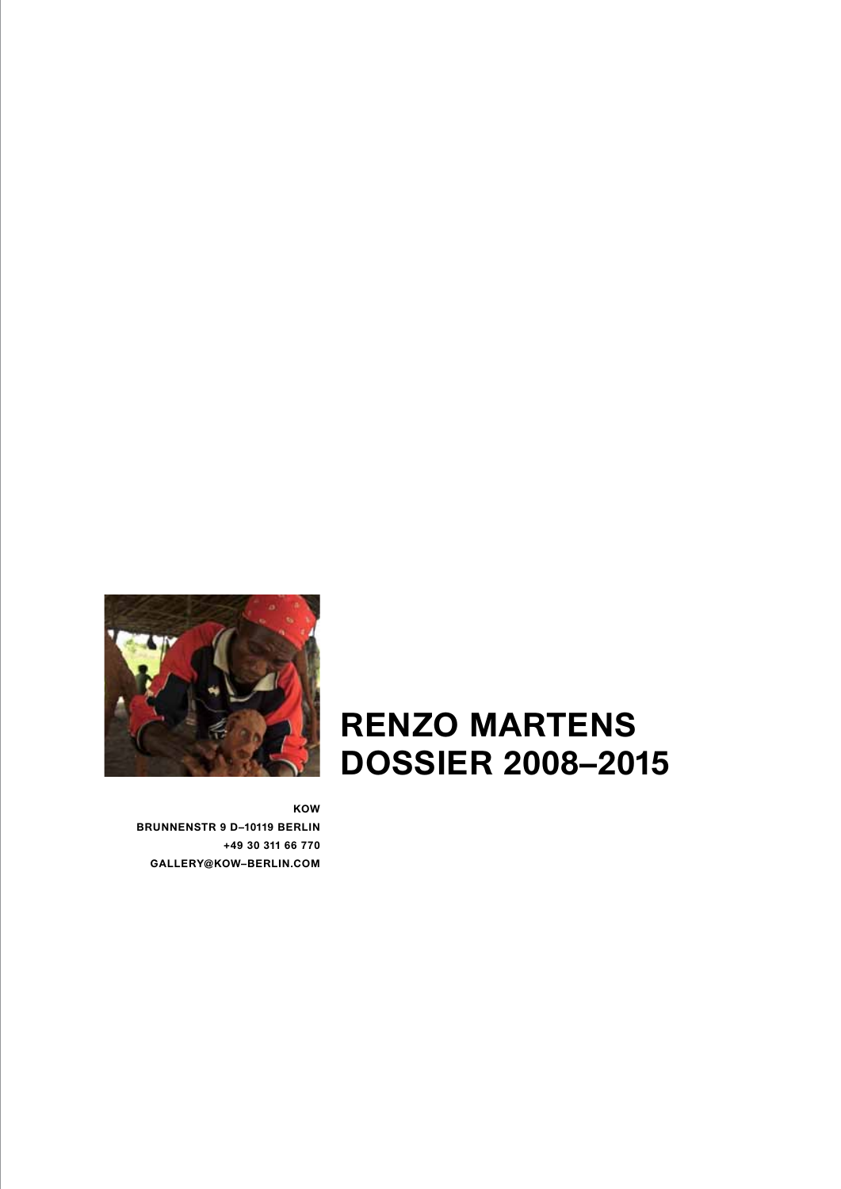

## **RENZO MARTENS DOSSIER 2008–2015**

**KOW BRUNNENSTR 9 D–10119 BERLIN +49 30 311 66 770 GALLERY@KOW–BERLIN.COM**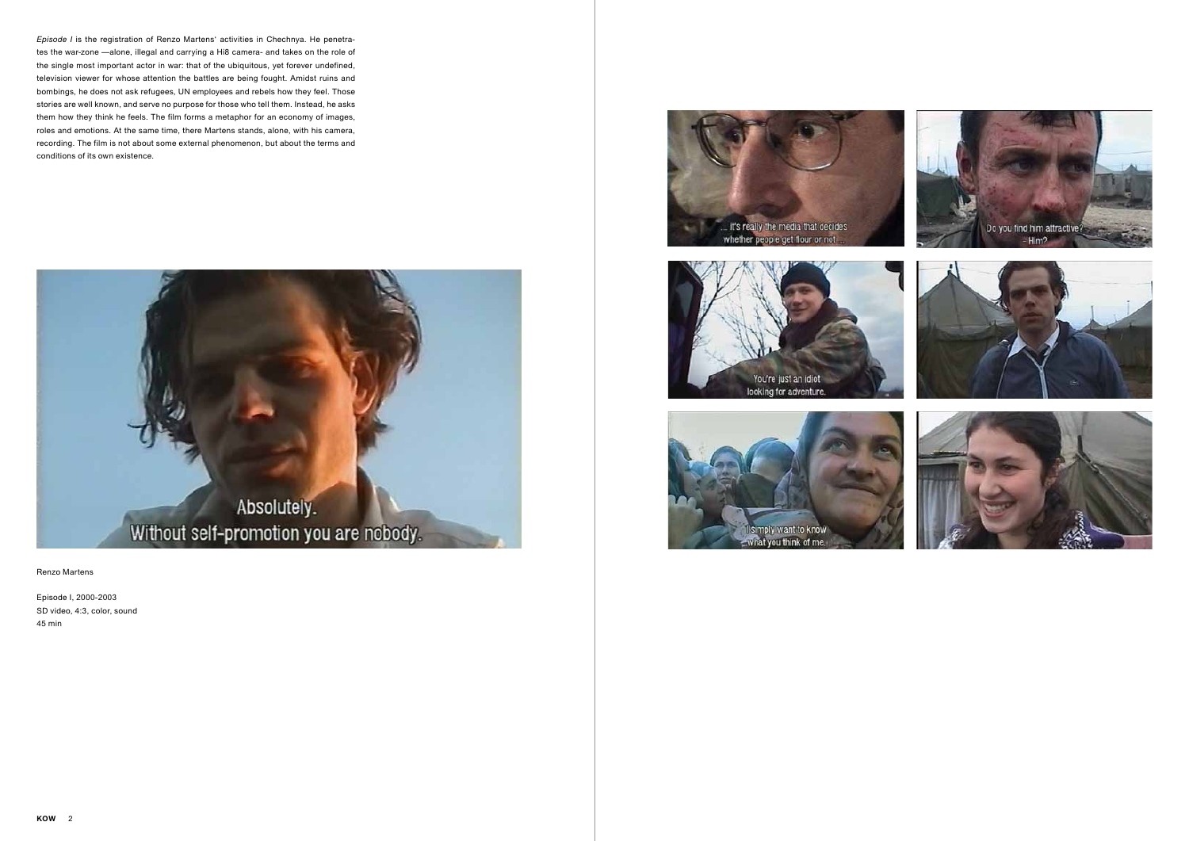





Renzo Martens

Episode I, 2000-2003 SD video, 4:3, color, sound 45 min







*Episode I* is the registration of Renzo Martens' activities in Chechnya. He penetrates the war-zone —alone, illegal and carrying a Hi8 camera- and takes on the role of the single most important actor in war: that of the ubiquitous, yet forever undefined, television viewer for whose attention the battles are being fought. Amidst ruins and bombings, he does not ask refugees, UN employees and rebels how they feel. Those stories are well known, and serve no purpose for those who tell them. Instead, he asks them how they think he feels. The film forms a metaphor for an economy of images, roles and emotions. At the same time, there Martens stands, alone, with his camera, recording. The film is not about some external phenomenon, but about the terms and conditions of its own existence.

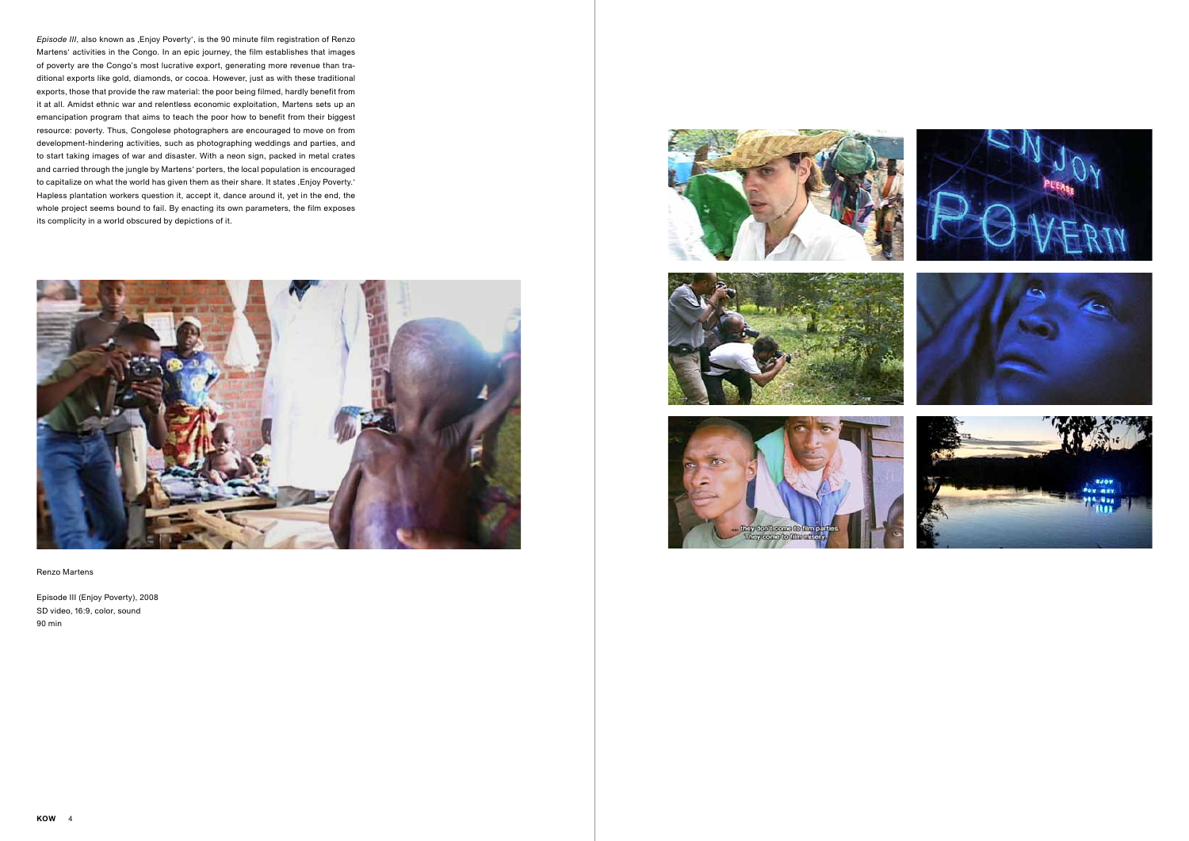







Renzo Martens

Episode III (Enjoy Poverty), 2008 SD video, 16:9, color, sound 90 min







*Episode III*, also known as , Enjoy Poverty', is the 90 minute film registration of Renzo Martens' activities in the Congo. In an epic journey, the film establishes that images of poverty are the Congo's most lucrative export, generating more revenue than traditional exports like gold, diamonds, or cocoa. However, just as with these traditional exports, those that provide the raw material: the poor being filmed, hardly benefit from it at all. Amidst ethnic war and relentless economic exploitation, Martens sets up an emancipation program that aims to teach the poor how to benefit from their biggest resource: poverty. Thus, Congolese photographers are encouraged to move on from development-hindering activities, such as photographing weddings and parties, and to start taking images of war and disaster. With a neon sign, packed in metal crates and carried through the jungle by Martens' porters, the local population is encouraged to capitalize on what the world has given them as their share. It states , Enjoy Poverty.' Hapless plantation workers question it, accept it, dance around it, yet in the end, the whole project seems bound to fail. By enacting its own parameters, the film exposes its complicity in a world obscured by depictions of it.

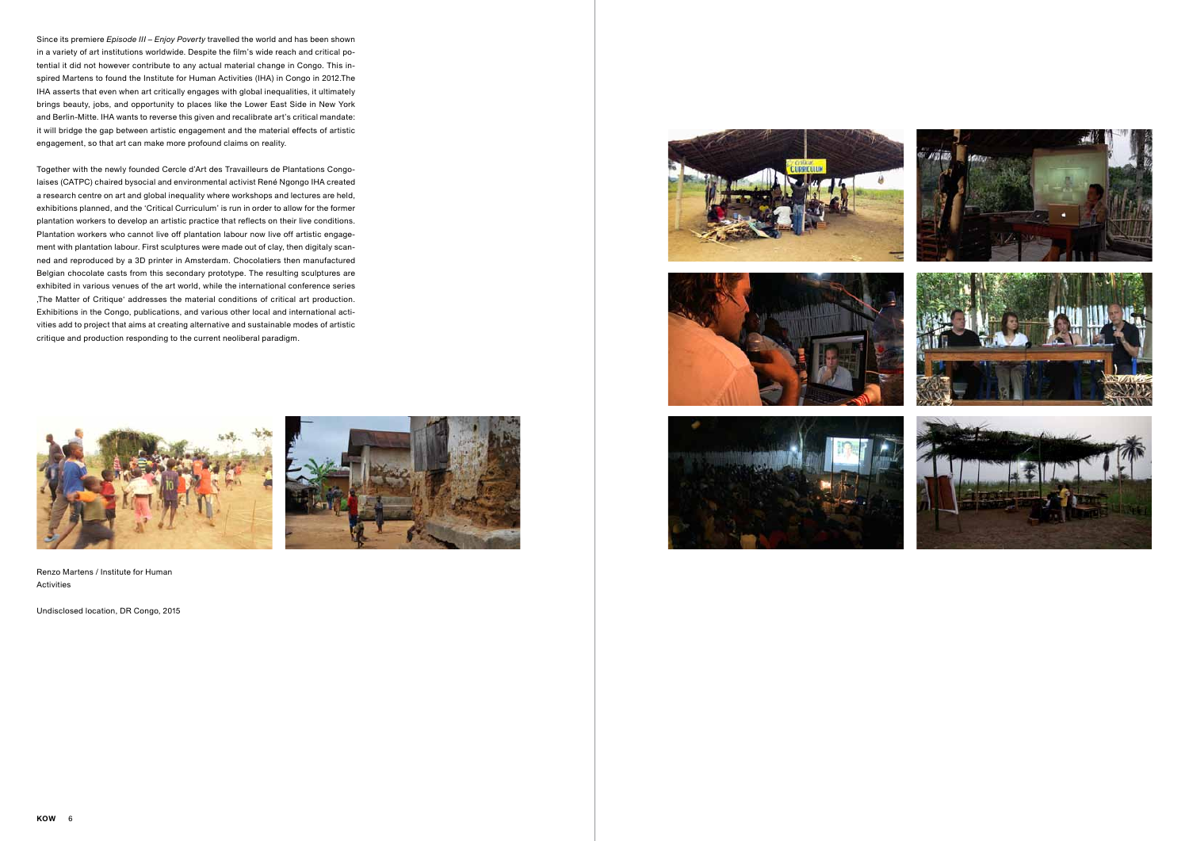Undisclosed location, DR Congo, 2015









Since its premiere *Episode III – Enjoy Poverty* travelled the world and has been shown in a variety of art institutions worldwide. Despite the film's wide reach and critical potential it did not however contribute to any actual material change in Congo. This inspired Martens to found the Institute for Human Activities (IHA) in Congo in 2012.The IHA asserts that even when art critically engages with global inequalities, it ultimately brings beauty, jobs, and opportunity to places like the Lower East Side in New York and Berlin-Mitte. IHA wants to reverse this given and recalibrate art's critical mandate: it will bridge the gap between artistic engagement and the material effects of artistic engagement, so that art can make more profound claims on reality.

Together with the newly founded Cercle d'Art des Travailleurs de Plantations Congolaises (CATPC) chaired bysocial and environmental activist René Ngongo IHA created a research centre on art and global inequality where workshops and lectures are held, exhibitions planned, and the 'Critical Curriculum' is run in order to allow for the former plantation workers to develop an artistic practice that reflects on their live conditions. Plantation workers who cannot live off plantation labour now live off artistic engagement with plantation labour. First sculptures were made out of clay, then digitaly scanned and reproduced by a 3D printer in Amsterdam. Chocolatiers then manufactured Belgian chocolate casts from this secondary prototype. The resulting sculptures are exhibited in various venues of the art world, while the international conference series 'The Matter of Critique' addresses the material conditions of critical art production. Exhibitions in the Congo, publications, and various other local and international activities add to project that aims at creating alternative and sustainable modes of artistic critique and production responding to the current neoliberal paradigm.

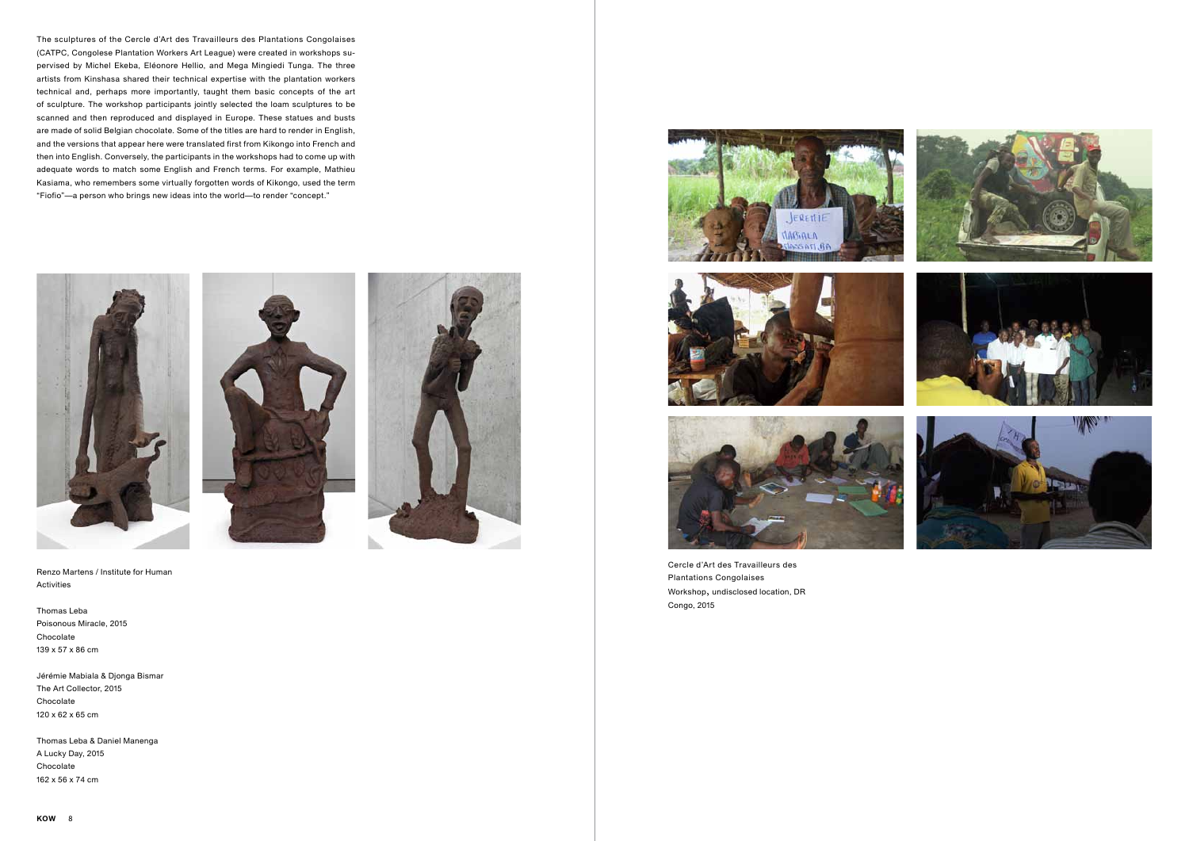**KOW** 8







Renzo Martens / Institute for Human Activities

Thomas Leba Poisonous Miracle, 2015 Chocolate 139 x 57 x 86 cm

Jérémie Mabiala & Djonga Bismar The Art Collector, 2015 Chocolate 120 x 62 x 65 cm

Thomas Leba & Daniel Manenga A Lucky Day, 2015 Chocolate 162 x 56 x 74 cm





The sculptures of the Cercle d'Art des Travailleurs des Plantations Congolaises (CATPC, Congolese Plantation Workers Art League) were created in workshops supervised by Michel Ekeba, Eléonore Hellio, and Mega Mingiedi Tunga. The three artists from Kinshasa shared their technical expertise with the plantation workers technical and, perhaps more importantly, taught them basic concepts of the art of sculpture. The workshop participants jointly selected the loam sculptures to be scanned and then reproduced and displayed in Europe. These statues and busts are made of solid Belgian chocolate. Some of the titles are hard to render in English, and the versions that appear here were translated first from Kikongo into French and then into English. Conversely, the participants in the workshops had to come up with adequate words to match some English and French terms. For example, Mathieu Kasiama, who remembers some virtually forgotten words of Kikongo, used the term "Fiofio"—a person who brings new ideas into the world—to render "concept."



Cercle d'Art des Travailleurs des Plantations Congolaises Workshop, undisclosed location, DR Congo, 2015





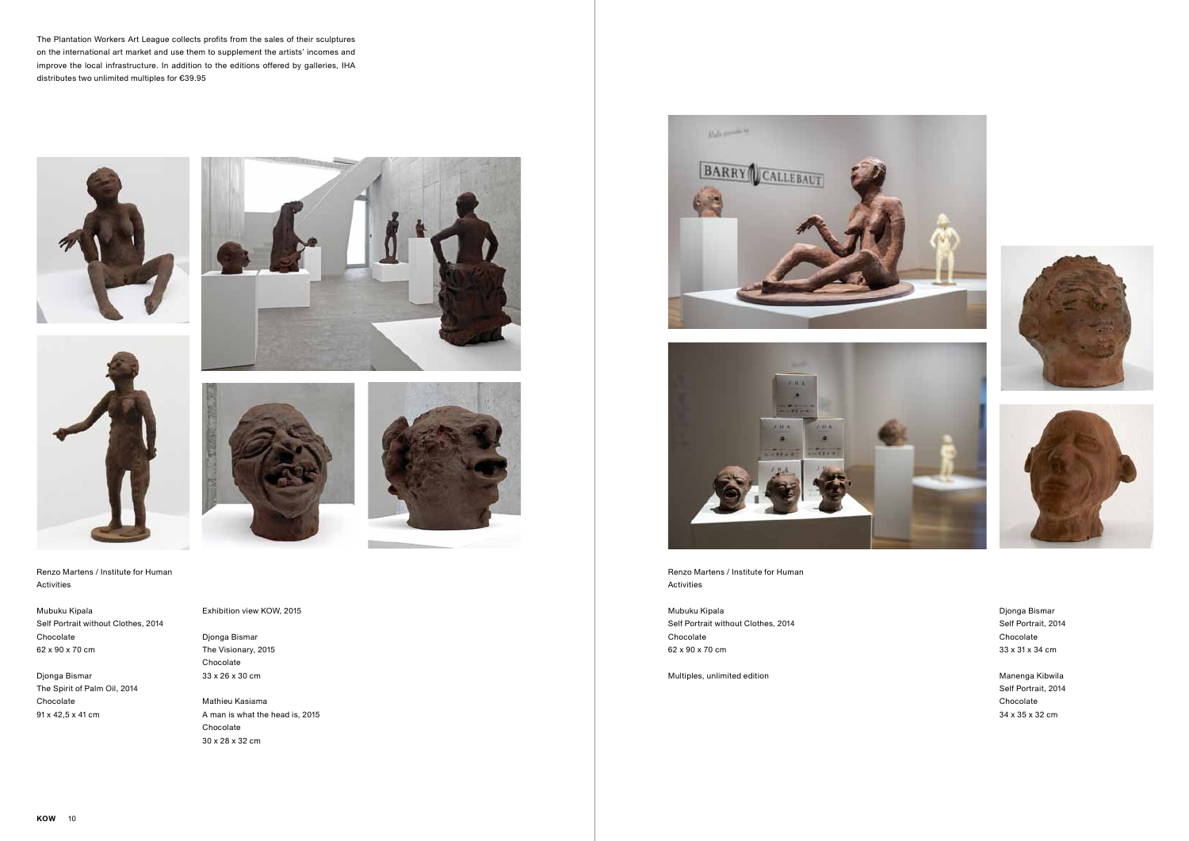





Mubuku Kipala Self Portrait without Clothes, 2014 Chocolate 62 x 90 x 70 cm

Djonga Bismar The Spirit of Palm Oil, 2014 Chocolate 91 x 42,5 x 41 cm







The Plantation Workers Art League collects profits from the sales of their sculptures on the international art market and use them to supplement the artists' incomes and improve the local infrastructure. In addition to the editions offered by galleries, IHA distributes two unlimited multiples for €39.95





Exhibition view KOW, 2015

Djonga Bismar The Visionary, 2015 Chocolate 33 x 26 x 30 cm

Mathieu Kasiama A man is what the head is, 2015 Chocolate 30 x 28 x 32 cm





Renzo Martens / Institute for Human Activities

Mubuku Kipala Self Portrait without Clothes, 2014 Chocolate 62 x 90 x 70 cm

Multiples, unlimited edition

Djonga Bismar Self Portrait, 2014 Chocolate 33 x 31 x 34 cm

Manenga Kibwila Self Portrait, 2014 Chocolate 34 x 35 x 32 cm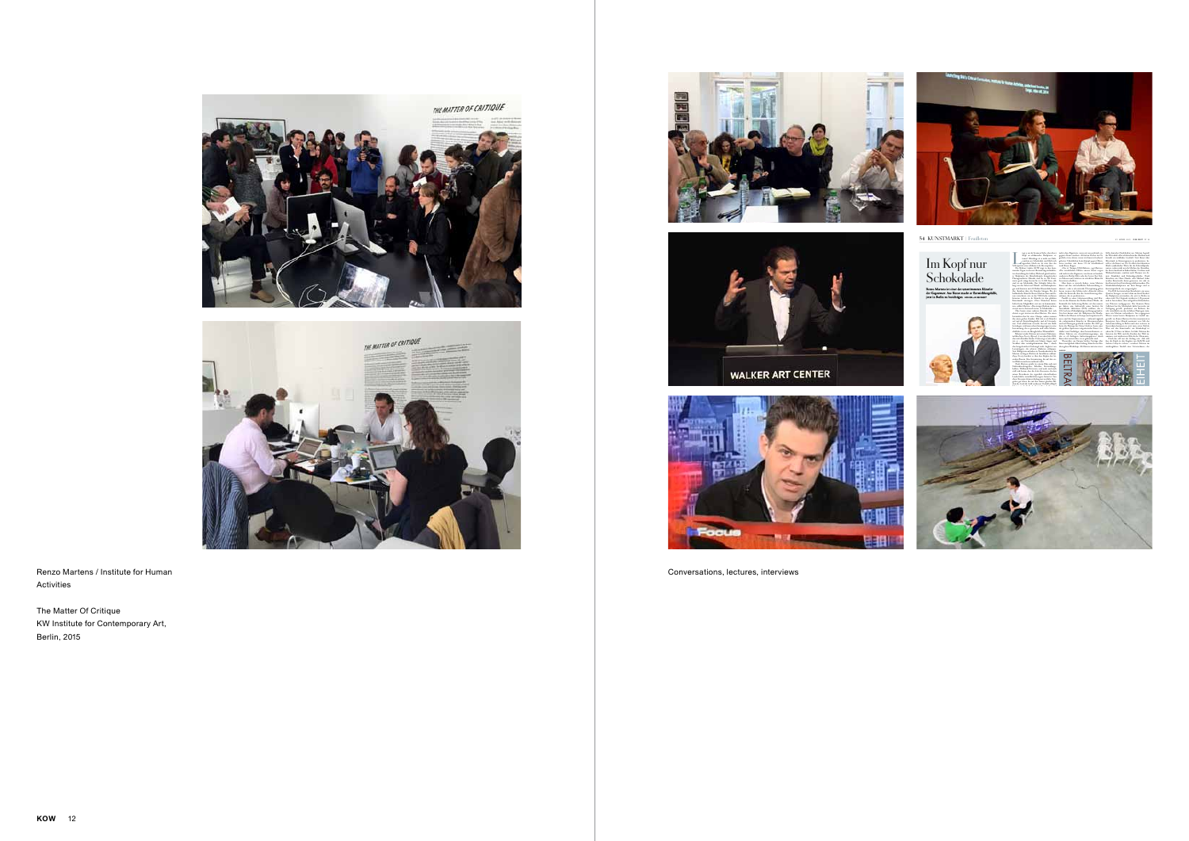

54 KUNSTMARKT | Feuilleton





29. APRIL 2015 **DIE ZEIT** N<sup>o</sup> 18 Selfie deutscher Förderkultur aus. Martens begreift

die Wirtschaft selbst als künstlerisches Medium und betreibt ein wirkliches Geschäft. Statt Kunst übe Missstände in Krisenregionen zu produzieren, bestellt er die Kunst vor Ort. Er öffnet den lukrativen Markt symbolischer Werte für die Rohstoffproduzenten, sodass nicht nur die Mythen des Abendlandes ihren Ausdruck in Kakao finden, Osterhase und Weihnachtsmann, sondern auch Themen wie Armut, Krankheit und Kolonialgeschichte. Dank Künstlern wie Hans Haacke oder Michael Adse werden Kunstwerke daran gemessen, wie sehr sie den Kontext ihrer Entstehung sichtbar machen. Die Schokoladenskulpturen aus dem Kongo sind so kontextspezifisch, wie es irgend geht. Das IHA hat inzwischen flussabwärts ein neue Quartier bezogen, wo mit Lehm aus dem Flussbett die Skulpturen entstanden, die jetzt in Berlin zu sehen sind. Die Originale wurden in 3-D gescann und in Amsterdam, dem weltgrößten Kakaohafen, von Pâtissiers nachgegossen. Der Konzern Barry Callebaut hat die Schokolade dafür kostenlos zur Verfügung gestellt, produziert aus Bohnen, die teils tatsächlich von den örtlichen Plantagen stammen, wie Martens recherchierte. Im vergangenen Winter waren bereits Skulpturen in Cardiff ausgestellt, wo Renzo Martens für den renommierten Kunstpreis Artes Mundi nominiert war. Mit der Galerieausstellung in Berlin und einer weiteren in Amsterdam kommen sie jetzt zum ersten Mal als Ware auf den Kunstmarkt, ein Schokokopf ist schon für 39 Euro zu haben. So führt Martens die Ärmsten der Welt und die Reichen der Welt zusammen, mit nüchternen Mitteln der Ökonomie

The Matter Of Critique KW Institute for Contemporary Art, Berlin, 2015







Conversations, lectures, interviews

Im Kopf nur Schokolade Renzo Martens ist einer der umstrittensten Künstler<br>der Gegenwart: Aus Kunst macht er Entwicklungshilfe,<br>jetzt in Berlin zu besichtigen von кошл нисният



L iegt es an der braunen Farbe, dass dieser Kopf an afrikanische Skulpturen erinnert? Allerdings ist er nicht aus Holz, sondern aus Schokolade und fühlt sich irgendwie falsch an: als wäre dies das Selbstporträt eines Afrikaners als Riesenpraline. Die Berliner Galerie KOW zeigt in den kommenden Tagen, in der mit Abstand ungewöhnlichsten Ausstellung des Gallery Weekend, gleich mehrere Skulpturen des Künstlerbundes kongolesische Plantagenarbeiter. Manche sind bis zu 160 Zenti meter groß, einige kosten bis zu 13 000 Euro, alle sind sie aus Schokolade. Ihre Schöpfer lebten bislang von der Arbeit auf Palmöl- und Kakaoplantagen und konnten mit 20 Dollar Monatslohn kaum ihre Familien über die Runden bringen. Bis der holländische Künstler Renzo Martens kam und ihnen vorrechnete, wie sie das 7000-Fache verdienen könnten: indem sie als Künstler in den globalen Kunstmarkt einsteigen. »Diese Menschen hatten bisher keine Möglichkeit, mit uns zu kommunizieren«,erklärt Martens.»Daseinzige Medium, in dem sie mit uns in Austausch treten, ist Schokolade.» Über kaum einen anderen Künstler lässt sich derzeit so gut streiten wie über Martens. Die einen bewundern ihn für seine Chuzpe, andere nennen ihn einen groben Zyniker. Mal tritt er als Künstler auf, mal als Entwicklungshelfer, mal als Unternehmer. Und sobald man versucht, ihn auf eine Rolle festzulegen, wird man schon hineingezogen in seine Inszenierung, die so grenzenlos und voller Schwindeleffekte ist wie ein Brueghelsches Wimmelbild. Bekannt wurde Martens mit seinem Dokumentarfilm *Enjoy Poverty (Episode 3)* aus dem Jahr 2008, den viele skandalös finden. Darin zeigt er sich selbst wie er – ein Fitzcarraldo mit blauen Augen und Strohhut über zurückgekämmtem Haar – durch den kongolesischen Dschungel zieht, begleitet von Lastenträgern, die schwere Alukisten schleppen. Statt Hilfsgütern enthalten sie Neonbuchstaben, die Martens in kargen Dörfern als Installation aufbaut. *Enjoy Poverty* leuchtet es über den Köpfen der feiernden Bauern. Eine Inszenierung, die auf den ersten Blick menschenverachtend wirkt. Doch Martens spricht in seinem Film auch mit Nachrichtenfotografen, Rebellen, Entwicklungshelfern, Weltbank-Vertretern, und nach und nach stellt sich heraus, dass die letzte Ressource, die den armen Bewohnern des eigentlich rohstoffreichen Landes bleibt, tatsächlich ihreeigene Armut ist. Von dieser Ressource können bislang nur westliche Fotografen gut leben, die mit den immer gleichen Bildern des Leids ihr Geld verdienen. Deshalb schlüpft ANZEIGE



nicht ohne Bigotterie, wenn wir uns politisch engagierte Kunst ansehen. Als hätten Fischer im Nigerdelta etwas davon, wenn wir ihnen in hochaufgelösten Videobildern beim Kampf gegen Ölkonzerne zusehen, mit deren Öl wir anschließend nach Hause fliegen. »Das ist Trompe-l'Œil-Malerei«, sagt Martens. »Die tatsächlichen Effekte unserer Kunst zeigen sich nicht in den Regionen, von denen sie handelt, sondern in Berlin-Mitte oder der Lower East Side, wo Museen und Galerien ein attraktives Klima für Investoren schaffen.«

Man kann es zynisch finden, wenn Martens Kunst auf ihre wirtschaftliche Nebenwirkung reduziert – oder es als satirische Überspitzung gelten lassen, wenn er den Schluss zieht: »Künstler sollten selbst die Kontrolle über die Gentrifizierung übernehmen, die sie produzieren. Parallel zu seiner Galerieausstellung wird Martens in den Räumen der Berliner Kunst-Werke, der Keimzelle der Aufwertung Berlins seit den neunziger Jahren, eine Außenstelle seines Instituts für menschliche Aktivitäten (IHA) eröffnen, das er 2012 auf einer Palmölplantage am Kongo gründete. Von hier kamen einst die Skulpturen des Bembe-Volks in die Museen in Europa und inspirierten Picasso und die Expressionisten – während zugleich die einheimischen Künstler in Missionarsschulen und auf Plantagen geschickt wurden. Bis 2009 gehörte die Plantage der Firma Unilever, heute eine der größten Sponsoren zeitgenössischer Kunst. Geduldet vom Nachfolger, dem Feronia-Konzern, eröffnete Martens ein »Gentrifizierungscamp«, um den so oft beklagten Aufwertungsprozess durch Kunst dort anzustoßen, wo er gebraucht wird. Theoretiker aus Europa hielten Vorträge über Kunst und globale Arbeitsteilung, Künstler aus Kinshasa gaben Workshops. Als Martens miteiner riesi-

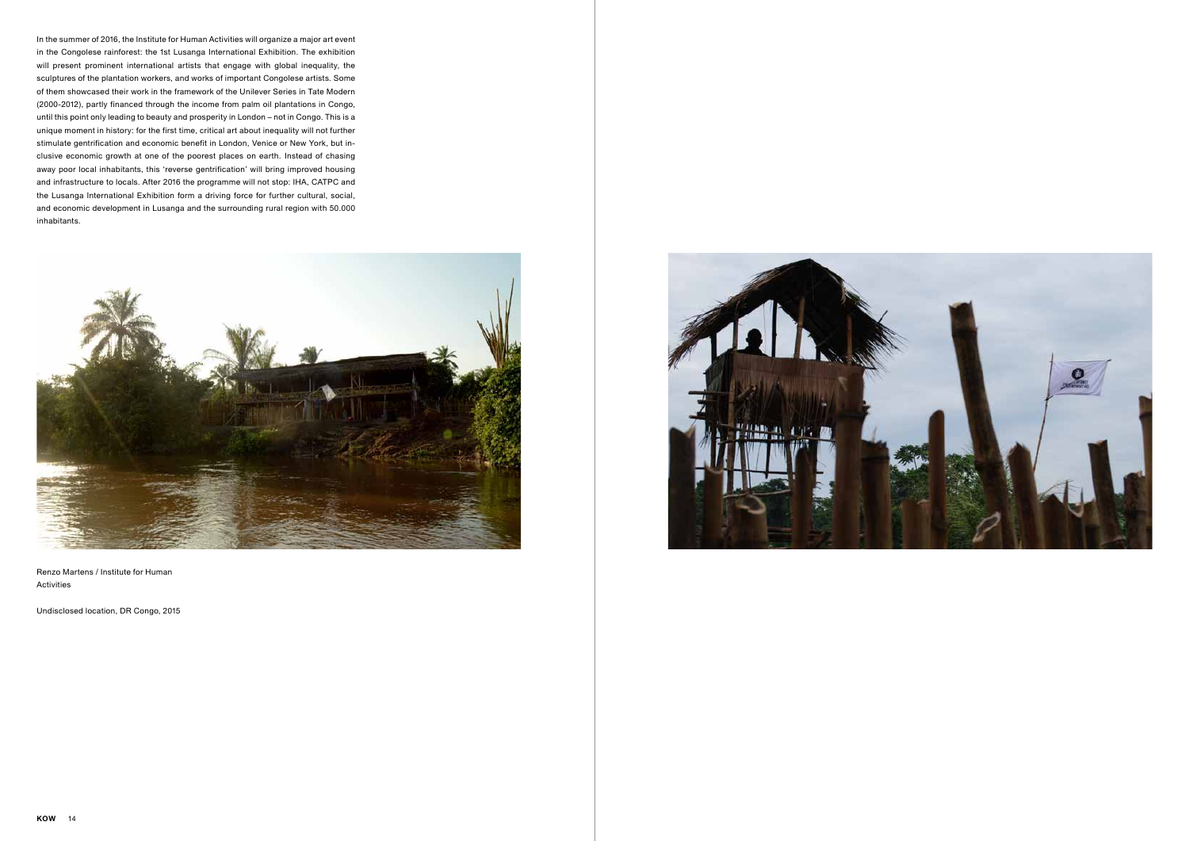Undisclosed location, DR Congo, 2015



In the summer of 2016, the Institute for Human Activities will organize a major art event in the Congolese rainforest: the 1st Lusanga International Exhibition. The exhibition will present prominent international artists that engage with global inequality, the sculptures of the plantation workers, and works of important Congolese artists. Some of them showcased their work in the framework of the Unilever Series in Tate Modern (2000-2012), partly financed through the income from palm oil plantations in Congo, until this point only leading to beauty and prosperity in London – not in Congo. This is a unique moment in history: for the first time, critical art about inequality will not further stimulate gentrification and economic benefit in London, Venice or New York, but inclusive economic growth at one of the poorest places on earth. Instead of chasing away poor local inhabitants, this 'reverse gentrification' will bring improved housing and infrastructure to locals. After 2016 the programme will not stop: IHA, CATPC and the Lusanga International Exhibition form a driving force for further cultural, social, and economic development in Lusanga and the surrounding rural region with 50.000 inhabitants.